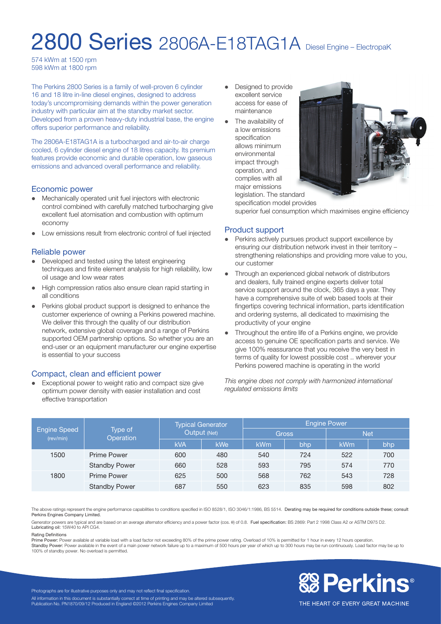## 2800 Series 2806A-E18TAG1A Diesel Engine – ElectropaK

574 kWm at 1500 rpm 598 kWm at 1800 rpm

The Perkins 2800 Series is a family of well-proven 6 cylinder 16 and 18 litre in-line diesel engines, designed to address today's uncompromising demands within the power generation industry with particular aim at the standby market sector. Developed from a proven heavy-duty industrial base, the engine offers superior performance and reliability.

The 2806A-E18TAG1A is a turbocharged and air-to-air charge cooled, 6 cylinder diesel engine of 18 litres capacity. Its premium features provide economic and durable operation, low gaseous emissions and advanced overall performance and reliability.

#### Economic power

- Mechanically operated unit fuel injectors with electronic control combined with carefully matched turbocharging give excellent fuel atomisation and combustion with optimum economy
- l Low emissions result from electronic control of fuel injected

#### Reliable power

- Developed and tested using the latest engineering techniques and finite element analysis for high reliability, low oil usage and low wear rates
- High compression ratios also ensure clean rapid starting in all conditions
- Perkins global product support is designed to enhance the customer experience of owning a Perkins powered machine. We deliver this through the quality of our distribution network, extensive global coverage and a range of Perkins supported OEM partnership options. So whether you are an end-user or an equipment manufacturer our engine expertise is essential to your success

#### Compact, clean and efficient power

Exceptional power to weight ratio and compact size give optimum power density with easier installation and cost effective transportation

- Designed to provide excellent service access for ease of maintenance
- $\bullet$  The availability of a low emissions specification allows minimum environmental impact through operation, and complies with all major emissions



legislation. The standard specification model provides

superior fuel consumption which maximises engine efficiency

#### Product support

- Perkins actively pursues product support excellence by ensuring our distribution network invest in their territory – strengthening relationships and providing more value to you, our customer
- Through an experienced global network of distributors and dealers, fully trained engine experts deliver total service support around the clock, 365 days a year. They have a comprehensive suite of web based tools at their fingertips covering technical information, parts identification and ordering systems, all dedicated to maximising the productivity of your engine
- Throughout the entire life of a Perkins engine, we provide access to genuine OE specification parts and service. We give 100% reassurance that you receive the very best in terms of quality for lowest possible cost .. wherever your Perkins powered machine is operating in the world

*This engine does not comply with harmonized international regulated emissions limits*

| <b>Engine Speed</b><br>(rev/min) | Type of<br>Operation | <b>Typical Generator</b><br>Output (Net) |     | <b>Engine Power</b> |     |            |     |
|----------------------------------|----------------------|------------------------------------------|-----|---------------------|-----|------------|-----|
|                                  |                      |                                          |     | <b>Gross</b>        |     | <b>Net</b> |     |
|                                  |                      | <b>kVA</b>                               | kWe | kWm                 | bhp | kWm        | bhp |
| 1500                             | Prime Power          | 600                                      | 480 | 540                 | 724 | 522        | 700 |
|                                  | <b>Standby Power</b> | 660                                      | 528 | 593                 | 795 | 574        | 770 |
| 1800                             | Prime Power          | 625                                      | 500 | 568                 | 762 | 543        | 728 |
|                                  | <b>Standby Power</b> | 687                                      | 550 | 623                 | 835 | 598        | 802 |

The above ratings represent the engine performance capabilities to conditions specified in ISO 8528/1, ISO 3046/1:1986, BS 5514. Derating may be required for conditions outside these; consult Perkins Engines Company Limited.

Generator powers are typical and are based on an average alternator efficiency and a power factor (cos. θ) of 0.8. Fuel specification: BS 2869: Part 2 1998 Class A2 or ASTM D975 D2. Lubricating oil: 15W40 to API CG4.

#### Rating Definitions

Prime Power: Power available at variable load with a load factor not exceeding 80% of the prime power rating. Overload of 10% is permitted for 1 hour in every 12 hours operation.

Standby Power: Power available in the event of a main power network failure up to a maximum of 500 hours per year of which up to 300 hours may be run continuously. Load factor may be up to 100% of standby power. No overload is permitted.



Photographs are for illustrative purposes only and may not reflect final specification. All information in this document is substantially correct at time of printing and may be altered subsequently Publication No. PN1870/09/12 Produced in England ©2012 Perkins Engines Company Limited